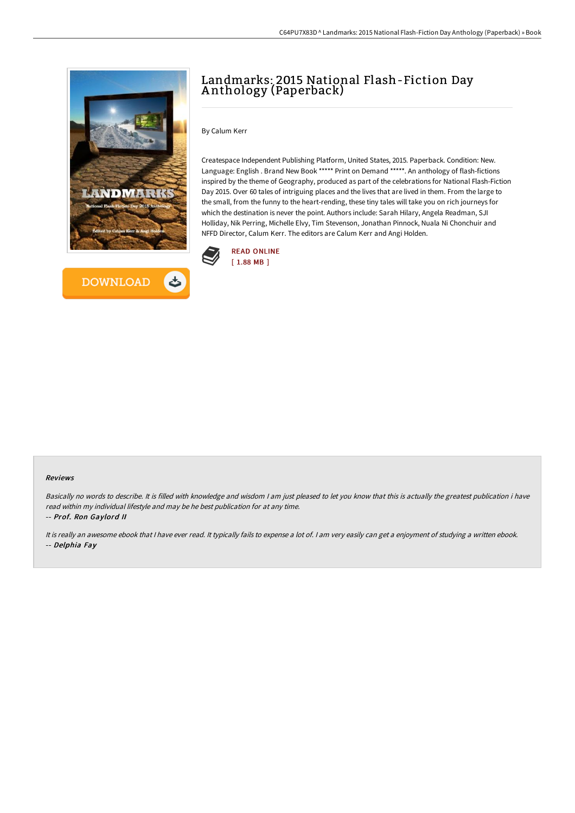



# Landmarks: 2015 National Flash-Fiction Day A nthology (Paperback)

By Calum Kerr

Createspace Independent Publishing Platform, United States, 2015. Paperback. Condition: New. Language: English . Brand New Book \*\*\*\*\* Print on Demand \*\*\*\*\*. An anthology of flash-fictions inspired by the theme of Geography, produced as part of the celebrations for National Flash-Fiction Day 2015. Over 60 tales of intriguing places and the lives that are lived in them. From the large to the small, from the funny to the heart-rending, these tiny tales will take you on rich journeys for which the destination is never the point. Authors include: Sarah Hilary, Angela Readman, SJI Holliday, Nik Perring, Michelle Elvy, Tim Stevenson, Jonathan Pinnock, Nuala Ni Chonchuir and NFFD Director, Calum Kerr. The editors are Calum Kerr and Angi Holden.



#### Reviews

Basically no words to describe. It is filled with knowledge and wisdom <sup>I</sup> am just pleased to let you know that this is actually the greatest publication i have read within my individual lifestyle and may be he best publication for at any time. -- Prof. Ron Gaylord II

It is really an awesome ebook that <sup>I</sup> have ever read. It typically fails to expense <sup>a</sup> lot of. <sup>I</sup> am very easily can get <sup>a</sup> enjoyment of studying <sup>a</sup> written ebook. -- Delphia Fay